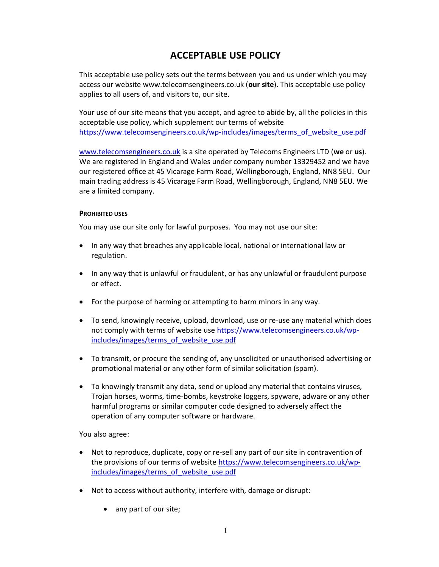# ACCEPTABLE USE POLICY

This acceptable use policy sets out the terms between you and us under which you may access our website www.telecomsengineers.co.uk (our site). This acceptable use policy applies to all users of, and visitors to, our site.

Your use of our site means that you accept, and agree to abide by, all the policies in this acceptable use policy, which supplement our terms of website https://www.telecomsengineers.co.uk/wp-includes/images/terms\_of\_website\_use.pdf

www.telecomsengineers.co.uk is a site operated by Telecoms Engineers LTD (we or us). We are registered in England and Wales under company number 13329452 and we have our registered office at 45 Vicarage Farm Road, Wellingborough, England, NN8 5EU. Our main trading address is 45 Vicarage Farm Road, Wellingborough, England, NN8 5EU. We are a limited company.

### PROHIBITED USES

You may use our site only for lawful purposes. You may not use our site:

- In any way that breaches any applicable local, national or international law or regulation.
- In any way that is unlawful or fraudulent, or has any unlawful or fraudulent purpose or effect.
- For the purpose of harming or attempting to harm minors in any way.
- To send, knowingly receive, upload, download, use or re-use any material which does not comply with terms of website use https://www.telecomsengineers.co.uk/wpincludes/images/terms\_of\_website\_use.pdf
- To transmit, or procure the sending of, any unsolicited or unauthorised advertising or promotional material or any other form of similar solicitation (spam).
- To knowingly transmit any data, send or upload any material that contains viruses, Trojan horses, worms, time-bombs, keystroke loggers, spyware, adware or any other harmful programs or similar computer code designed to adversely affect the operation of any computer software or hardware.

You also agree:

- Not to reproduce, duplicate, copy or re-sell any part of our site in contravention of the provisions of our terms of website https://www.telecomsengineers.co.uk/wpincludes/images/terms\_of\_website\_use.pdf
- Not to access without authority, interfere with, damage or disrupt:
	- any part of our site;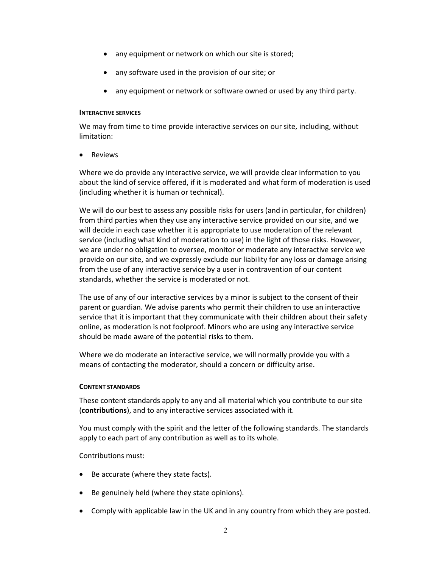- any equipment or network on which our site is stored;
- any software used in the provision of our site; or
- any equipment or network or software owned or used by any third party.

### INTERACTIVE SERVICES

We may from time to time provide interactive services on our site, including, without limitation:

• Reviews

Where we do provide any interactive service, we will provide clear information to you about the kind of service offered, if it is moderated and what form of moderation is used (including whether it is human or technical).

We will do our best to assess any possible risks for users (and in particular, for children) from third parties when they use any interactive service provided on our site, and we will decide in each case whether it is appropriate to use moderation of the relevant service (including what kind of moderation to use) in the light of those risks. However, we are under no obligation to oversee, monitor or moderate any interactive service we provide on our site, and we expressly exclude our liability for any loss or damage arising from the use of any interactive service by a user in contravention of our content standards, whether the service is moderated or not.

The use of any of our interactive services by a minor is subject to the consent of their parent or guardian. We advise parents who permit their children to use an interactive service that it is important that they communicate with their children about their safety online, as moderation is not foolproof. Minors who are using any interactive service should be made aware of the potential risks to them.

Where we do moderate an interactive service, we will normally provide you with a means of contacting the moderator, should a concern or difficulty arise.

# CONTENT STANDARDS

These content standards apply to any and all material which you contribute to our site (contributions), and to any interactive services associated with it.

You must comply with the spirit and the letter of the following standards. The standards apply to each part of any contribution as well as to its whole.

# Contributions must:

- Be accurate (where they state facts).
- Be genuinely held (where they state opinions).
- Comply with applicable law in the UK and in any country from which they are posted.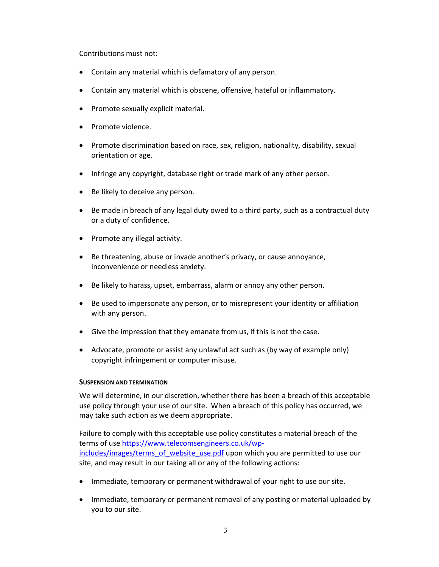Contributions must not:

- Contain any material which is defamatory of any person.
- Contain any material which is obscene, offensive, hateful or inflammatory.
- Promote sexually explicit material.
- Promote violence.
- Promote discrimination based on race, sex, religion, nationality, disability, sexual orientation or age.
- Infringe any copyright, database right or trade mark of any other person.
- Be likely to deceive any person.
- Be made in breach of any legal duty owed to a third party, such as a contractual duty or a duty of confidence.
- Promote any illegal activity.
- Be threatening, abuse or invade another's privacy, or cause annoyance, inconvenience or needless anxiety.
- Be likely to harass, upset, embarrass, alarm or annoy any other person.
- Be used to impersonate any person, or to misrepresent your identity or affiliation with any person.
- Give the impression that they emanate from us, if this is not the case.
- Advocate, promote or assist any unlawful act such as (by way of example only) copyright infringement or computer misuse.

# SUSPENSION AND TERMINATION

We will determine, in our discretion, whether there has been a breach of this acceptable use policy through your use of our site. When a breach of this policy has occurred, we may take such action as we deem appropriate.

Failure to comply with this acceptable use policy constitutes a material breach of the terms of use https://www.telecomsengineers.co.uk/wpincludes/images/terms\_of\_website\_use.pdf upon which you are permitted to use our site, and may result in our taking all or any of the following actions:

- Immediate, temporary or permanent withdrawal of your right to use our site.
- Immediate, temporary or permanent removal of any posting or material uploaded by you to our site.